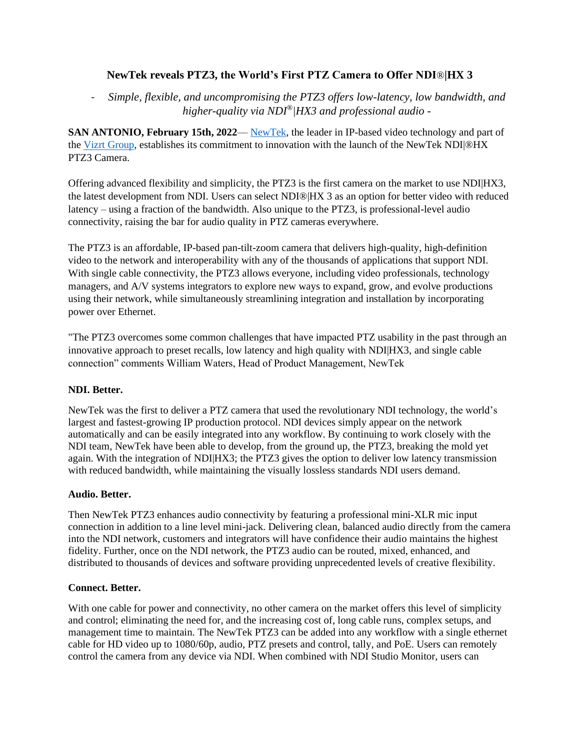# **NewTek reveals PTZ3, the World's First PTZ Camera to Offer NDI**®**|HX 3**

- *Simple, flexible, and uncompromising the PTZ3 offers low-latency, low bandwidth, and higher-quality via NDI®|HX3 and professional audio -*

**SAN ANTONIO, February 15th, 2022**— [NewTek,](https://www.newtek.com/) the leader in IP-based video technology and part of the [Vizrt Group,](https://www.vizrtgroup.com/) establishes its commitment to innovation with the launch of the NewTek NDI|®HX PTZ3 Camera.

Offering advanced flexibility and simplicity, the PTZ3 is the first camera on the market to use NDI|HX3, the latest development from NDI. Users can select NDI®|HX 3 as an option for better video with reduced latency – using a fraction of the bandwidth. Also unique to the PTZ3, is professional-level audio connectivity, raising the bar for audio quality in PTZ cameras everywhere.

The PTZ3 is an affordable, IP-based pan-tilt-zoom camera that delivers high-quality, high-definition video to the network and interoperability with any of the thousands of applications that support NDI. With single cable connectivity, the PTZ3 allows everyone, including video professionals, technology managers, and A/V systems integrators to explore new ways to expand, grow, and evolve productions using their network, while simultaneously streamlining integration and installation by incorporating power over Ethernet.

"The PTZ3 overcomes some common challenges that have impacted PTZ usability in the past through an innovative approach to preset recalls, low latency and high quality with NDI|HX3, and single cable connection" comments William Waters, Head of Product Management, NewTek

## **NDI. Better.**

NewTek was the first to deliver a PTZ camera that used the revolutionary NDI technology, the world's largest and fastest-growing IP production protocol. NDI devices simply appear on the network automatically and can be easily integrated into any workflow. By continuing to work closely with the NDI team, NewTek have been able to develop, from the ground up, the PTZ3, breaking the mold yet again. With the integration of NDI|HX3; the PTZ3 gives the option to deliver low latency transmission with reduced bandwidth, while maintaining the visually lossless standards NDI users demand.

## **Audio. Better.**

Then NewTek PTZ3 enhances audio connectivity by featuring a professional mini-XLR mic input connection in addition to a line level mini-jack. Delivering clean, balanced audio directly from the camera into the NDI network, customers and integrators will have confidence their audio maintains the highest fidelity. Further, once on the NDI network, the PTZ3 audio can be routed, mixed, enhanced, and distributed to thousands of devices and software providing unprecedented levels of creative flexibility.

## **Connect. Better.**

With one cable for power and connectivity, no other camera on the market offers this level of simplicity and control; eliminating the need for, and the increasing cost of, long cable runs, complex setups, and management time to maintain. The NewTek PTZ3 can be added into any workflow with a single ethernet cable for HD video up to 1080/60p, audio, PTZ presets and control, tally, and PoE. Users can remotely control the camera from any device via NDI. When combined with NDI Studio Monitor, users can